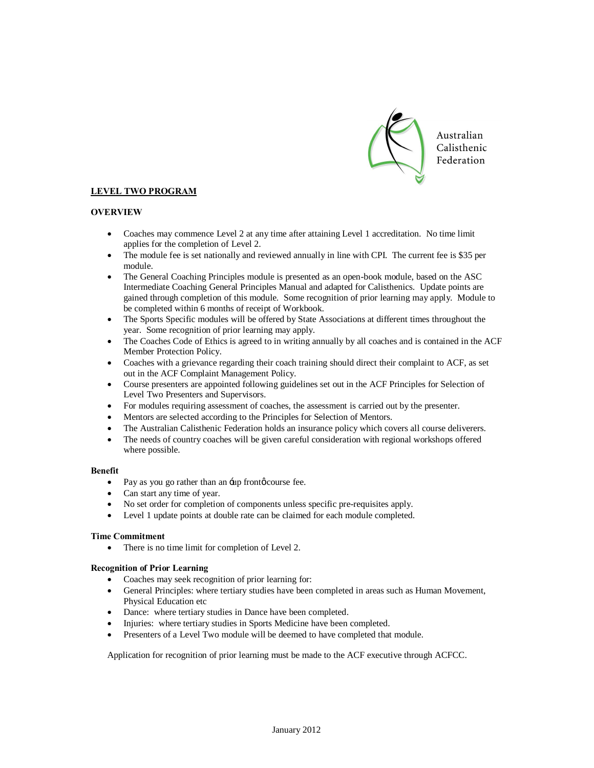

## **LEVEL TWO PROGRAM**

## **OVERVIEW**

- · Coaches may commence Level 2 at any time after attaining Level 1 accreditation. No time limit applies for the completion of Level 2.
- · The module fee is set nationally and reviewed annually in line with CPI. The current fee is \$35 per module.
- The General Coaching Principles module is presented as an open-book module, based on the ASC Intermediate Coaching General Principles Manual and adapted for Calisthenics. Update points are gained through completion of this module. Some recognition of prior learning may apply. Module to be completed within 6 months of receipt of Workbook.
- The Sports Specific modules will be offered by State Associations at different times throughout the year. Some recognition of prior learning may apply.
- The Coaches Code of Ethics is agreed to in writing annually by all coaches and is contained in the ACF Member Protection Policy.
- · Coaches with a grievance regarding their coach training should direct their complaint to ACF, as set out in the ACF Complaint Management Policy.
- · Course presenters are appointed following guidelines set out in the ACF Principles for Selection of Level Two Presenters and Supervisors.
- · For modules requiring assessment of coaches, the assessment is carried out by the presenter.
- Mentors are selected according to the Principles for Selection of Mentors.
- The Australian Calisthenic Federation holds an insurance policy which covers all course deliverers.
- The needs of country coaches will be given careful consideration with regional workshops offered where possible.

## **Benefit**

- Pay as you go rather than an -up frontø course fee.
- Can start any time of year.
- · No set order for completion of components unless specific pre-requisites apply.
- · Level 1 update points at double rate can be claimed for each module completed.

## **Time Commitment**

• There is no time limit for completion of Level 2.

## **Recognition of Prior Learning**

- · Coaches may seek recognition of prior learning for:
- · General Principles: where tertiary studies have been completed in areas such as Human Movement, Physical Education etc
- Dance: where tertiary studies in Dance have been completed.
- Injuries: where tertiary studies in Sports Medicine have been completed.
- Presenters of a Level Two module will be deemed to have completed that module.

Application for recognition of prior learning must be made to the ACF executive through ACFCC.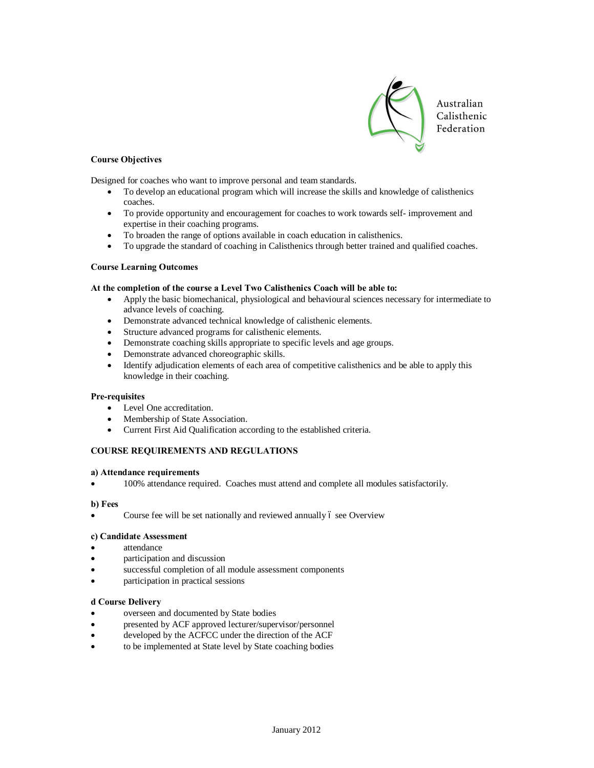

## **Course Objectives**

Designed for coaches who want to improve personal and team standards.

- · To develop an educational program which will increase the skills and knowledge of calisthenics coaches.
- · To provide opportunity and encouragement for coaches to work towards self- improvement and expertise in their coaching programs.
- · To broaden the range of options available in coach education in calisthenics.
- · To upgrade the standard of coaching in Calisthenics through better trained and qualified coaches.

### **Course Learning Outcomes**

### **At the completion of the course a Level Two Calisthenics Coach will be able to:**

- · Apply the basic biomechanical, physiological and behavioural sciences necessary for intermediate to advance levels of coaching.
- · Demonstrate advanced technical knowledge of calisthenic elements.
- Structure advanced programs for calisthenic elements.
- Demonstrate coaching skills appropriate to specific levels and age groups.
- Demonstrate advanced choreographic skills.
- Identify adjudication elements of each area of competitive calisthenics and be able to apply this knowledge in their coaching.

#### **Pre-requisites**

- Level One accreditation.
- Membership of State Association.
- · Current First Aid Qualification according to the established criteria.

## **COURSE REQUIREMENTS AND REGULATIONS**

#### **a) Attendance requirements**

· 100% attendance required. Coaches must attend and complete all modules satisfactorily.

#### **b) Fees**

Course fee will be set nationally and reviewed annually 6 see Overview

## **c) Candidate Assessment**

- attendance
- participation and discussion
- successful completion of all module assessment components
- participation in practical sessions

## **d Course Delivery**

- overseen and documented by State bodies
- presented by ACF approved lecturer/supervisor/personnel
- developed by the ACFCC under the direction of the ACF
- to be implemented at State level by State coaching bodies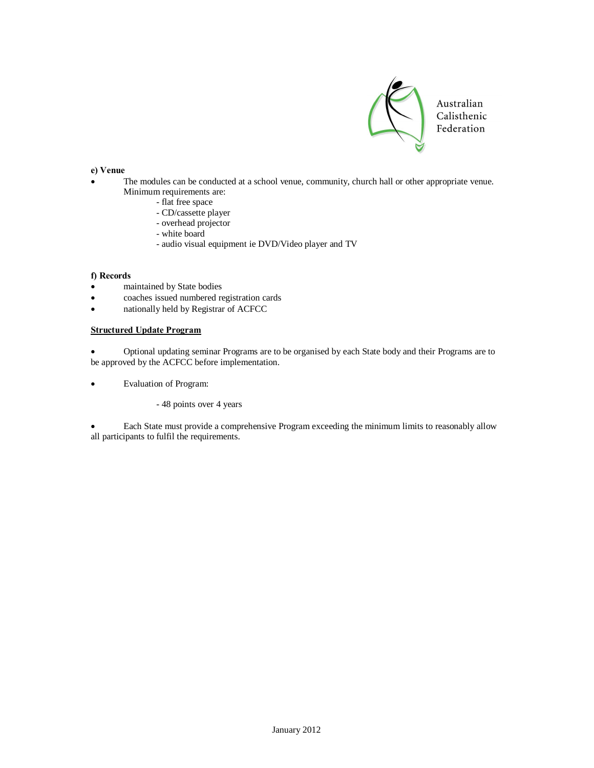

## **e) Venue**

- The modules can be conducted at a school venue, community, church hall or other appropriate venue. Minimum requirements are:
	- flat free space
		- CD/cassette player
		- overhead projector
		- white board
		- audio visual equipment ie DVD/Video player and TV

### **f) Records**

- maintained by State bodies
- · coaches issued numbered registration cards
- nationally held by Registrar of ACFCC

## **Structured Update Program**

· Optional updating seminar Programs are to be organised by each State body and their Programs are to be approved by the ACFCC before implementation.

- · Evaluation of Program:
	- 48 points over 4 years

Each State must provide a comprehensive Program exceeding the minimum limits to reasonably allow all participants to fulfil the requirements.